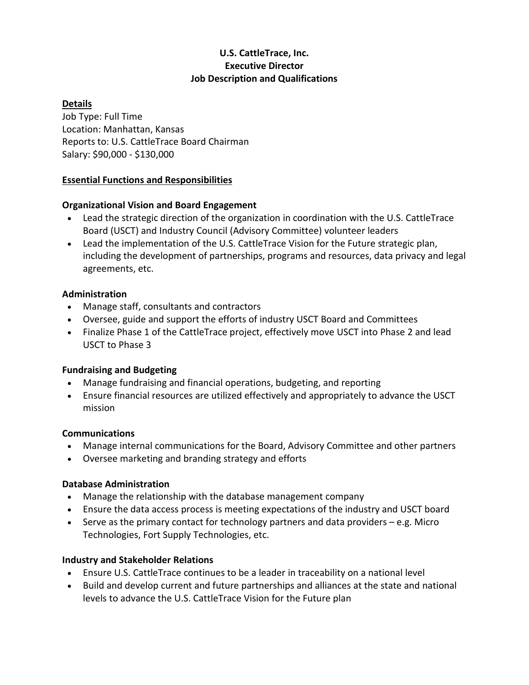# **U.S. CattleTrace, Inc. Executive Director Job Description and Qualifications**

## **Details**

Job Type: Full Time Location: Manhattan, Kansas Reports to: U.S. CattleTrace Board Chairman Salary: \$90,000 - \$130,000

### **Essential Functions and Responsibilities**

### **Organizational Vision and Board Engagement**

- Lead the strategic direction of the organization in coordination with the U.S. CattleTrace Board (USCT) and Industry Council (Advisory Committee) volunteer leaders
- Lead the implementation of the U.S. CattleTrace Vision for the Future strategic plan, including the development of partnerships, programs and resources, data privacy and legal agreements, etc.

### **Administration**

- Manage staff, consultants and contractors
- Oversee, guide and support the efforts of industry USCT Board and Committees
- Finalize Phase 1 of the CattleTrace project, effectively move USCT into Phase 2 and lead USCT to Phase 3

## **Fundraising and Budgeting**

- Manage fundraising and financial operations, budgeting, and reporting
- Ensure financial resources are utilized effectively and appropriately to advance the USCT mission

## **Communications**

- Manage internal communications for the Board, Advisory Committee and other partners
- Oversee marketing and branding strategy and efforts

## **Database Administration**

- Manage the relationship with the database management company
- Ensure the data access process is meeting expectations of the industry and USCT board
- Serve as the primary contact for technology partners and data providers  $-e.g.$  Micro Technologies, Fort Supply Technologies, etc.

## **Industry and Stakeholder Relations**

- Ensure U.S. CattleTrace continues to be a leader in traceability on a national level
- Build and develop current and future partnerships and alliances at the state and national levels to advance the U.S. CattleTrace Vision for the Future plan